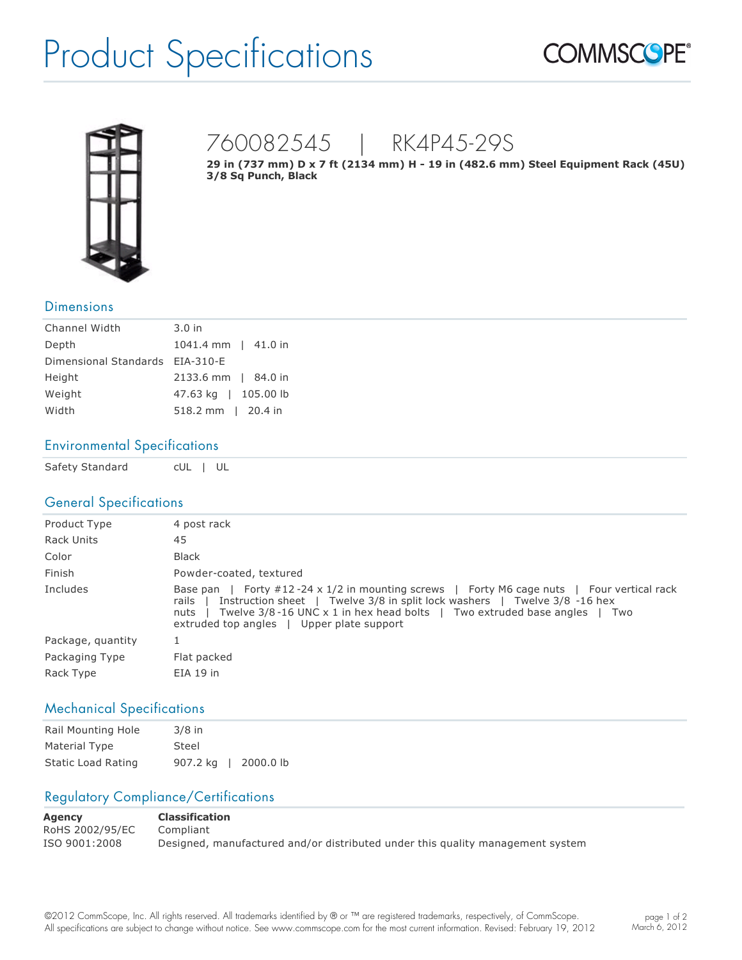# Product Specifications





# 760082545 | RK4P45-29S

**29 in (737 mm) D x 7 ft (2134 mm) H 19 in (482.6 mm) Steel Equipment Rack (45U) 3/8 Sq Punch, Black**

#### **Dimensions**

| Channel Width                   | $3.0$ in             |
|---------------------------------|----------------------|
| Depth                           | 1041.4 mm   41.0 in  |
| Dimensional Standards EIA-310-E |                      |
| Height                          | 2133.6 mm   84.0 in  |
| Weight                          | 47.63 kg   105.00 lb |
| Width                           | 518.2 mm   20.4 in   |

#### Environmental Specifications

Safety Standard cUL | UL

### General Specifications

| Product Type      | 4 post rack                                                                                                                                                                                                                                                                                                                   |
|-------------------|-------------------------------------------------------------------------------------------------------------------------------------------------------------------------------------------------------------------------------------------------------------------------------------------------------------------------------|
| <b>Rack Units</b> | 45                                                                                                                                                                                                                                                                                                                            |
| Color             | <b>Black</b>                                                                                                                                                                                                                                                                                                                  |
| Finish            | Powder-coated, textured                                                                                                                                                                                                                                                                                                       |
| Includes          | Forty #12-24 x 1/2 in mounting screws   Forty M6 cage nuts   Four vertical rack<br>Base pan<br>Instruction sheet   Twelve 3/8 in split lock washers   Twelve 3/8 -16 hex<br>rails<br>Twelve $3/8$ -16 UNC $\times$ 1 in hex head bolts   Two extruded base angles<br>nuts<br>Two<br>extruded top angles   Upper plate support |
| Package, quantity |                                                                                                                                                                                                                                                                                                                               |
| Packaging Type    | Flat packed                                                                                                                                                                                                                                                                                                                   |
| Rack Type         | $EIA$ 19 in                                                                                                                                                                                                                                                                                                                   |

### Mechanical Specifications

| Rail Mounting Hole        | $3/8$ in                |
|---------------------------|-------------------------|
| Material Type             | Steel                   |
| <b>Static Load Rating</b> | 907.2 kg<br>  2000.0 lb |

## Regulatory Compliance/Certifications

| Agency          | <b>Classification</b>                                                          |
|-----------------|--------------------------------------------------------------------------------|
| RoHS 2002/95/EC | Compliant                                                                      |
| ISO 9001:2008   | Designed, manufactured and/or distributed under this quality management system |